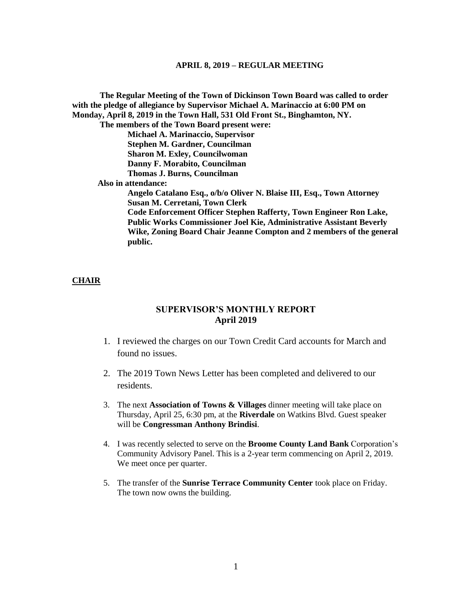**The Regular Meeting of the Town of Dickinson Town Board was called to order with the pledge of allegiance by Supervisor Michael A. Marinaccio at 6:00 PM on Monday, April 8, 2019 in the Town Hall, 531 Old Front St., Binghamton, NY. The members of the Town Board present were: Michael A. Marinaccio, Supervisor Stephen M. Gardner, Councilman Sharon M. Exley, Councilwoman Danny F. Morabito, Councilman Thomas J. Burns, Councilman Also in attendance: Angelo Catalano Esq., o/b/o Oliver N. Blaise III, Esq., Town Attorney Susan M. Cerretani, Town Clerk Code Enforcement Officer Stephen Rafferty, Town Engineer Ron Lake, Public Works Commissioner Joel Kie, Administrative Assistant Beverly** 

**Wike, Zoning Board Chair Jeanne Compton and 2 members of the general public.**

# **CHAIR**

# **SUPERVISOR'S MONTHLY REPORT April 2019**

- 1. I reviewed the charges on our Town Credit Card accounts for March and found no issues.
- 2. The 2019 Town News Letter has been completed and delivered to our residents.
- 3. The next **Association of Towns & Villages** dinner meeting will take place on Thursday, April 25, 6:30 pm, at the **Riverdale** on Watkins Blvd. Guest speaker will be **Congressman Anthony Brindisi**.
- 4. I was recently selected to serve on the **Broome County Land Bank** Corporation's Community Advisory Panel. This is a 2-year term commencing on April 2, 2019. We meet once per quarter.
- 5. The transfer of the **Sunrise Terrace Community Center** took place on Friday. The town now owns the building.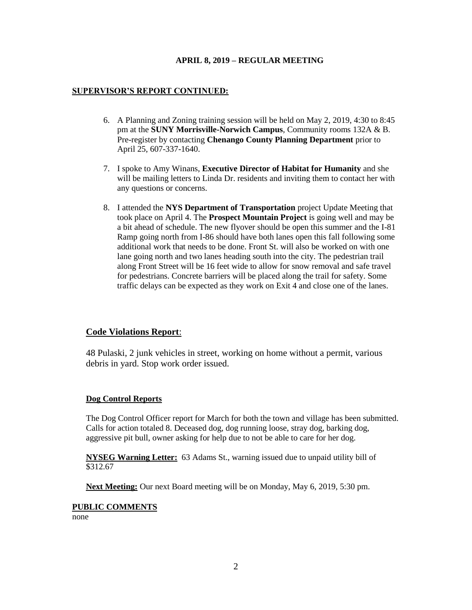# **SUPERVISOR'S REPORT CONTINUED:**

- 6. A Planning and Zoning training session will be held on May 2, 2019, 4:30 to 8:45 pm at the **SUNY Morrisville-Norwich Campus**, Community rooms 132A & B. Pre-register by contacting **Chenango County Planning Department** prior to April 25, 607-337-1640.
- 7. I spoke to Amy Winans, **Executive Director of Habitat for Humanity** and she will be mailing letters to Linda Dr. residents and inviting them to contact her with any questions or concerns.
- 8. I attended the **NYS Department of Transportation** project Update Meeting that took place on April 4. The **Prospect Mountain Project** is going well and may be a bit ahead of schedule. The new flyover should be open this summer and the I-81 Ramp going north from I-86 should have both lanes open this fall following some additional work that needs to be done. Front St. will also be worked on with one lane going north and two lanes heading south into the city. The pedestrian trail along Front Street will be 16 feet wide to allow for snow removal and safe travel for pedestrians. Concrete barriers will be placed along the trail for safety. Some traffic delays can be expected as they work on Exit 4 and close one of the lanes.

# **Code Violations Report**:

48 Pulaski, 2 junk vehicles in street, working on home without a permit, various debris in yard. Stop work order issued.

#### **Dog Control Reports**

The Dog Control Officer report for March for both the town and village has been submitted. Calls for action totaled 8. Deceased dog, dog running loose, stray dog, barking dog, aggressive pit bull, owner asking for help due to not be able to care for her dog.

**NYSEG Warning Letter:** 63 Adams St., warning issued due to unpaid utility bill of \$312.67

**Next Meeting:** Our next Board meeting will be on Monday, May 6, 2019, 5:30 pm.

#### **PUBLIC COMMENTS**

none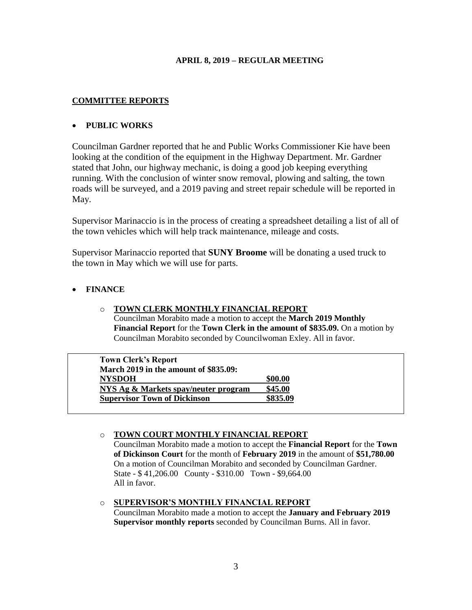# **COMMITTEE REPORTS**

# • **PUBLIC WORKS**

Councilman Gardner reported that he and Public Works Commissioner Kie have been looking at the condition of the equipment in the Highway Department. Mr. Gardner stated that John, our highway mechanic, is doing a good job keeping everything running. With the conclusion of winter snow removal, plowing and salting, the town roads will be surveyed, and a 2019 paving and street repair schedule will be reported in May.

Supervisor Marinaccio is in the process of creating a spreadsheet detailing a list of all of the town vehicles which will help track maintenance, mileage and costs.

Supervisor Marinaccio reported that **SUNY Broome** will be donating a used truck to the town in May which we will use for parts.

# • **FINANCE**

# o **TOWN CLERK MONTHLY FINANCIAL REPORT**

Councilman Morabito made a motion to accept the **March 2019 Monthly Financial Report** for the **Town Clerk in the amount of \$835.09.** On a motion by Councilman Morabito seconded by Councilwoman Exley. All in favor.

| \$00.00  |
|----------|
| \$45.00  |
| \$835.09 |
|          |

# o **TOWN COURT MONTHLY FINANCIAL REPORT**

Councilman Morabito made a motion to accept the **Financial Report** for the **Town of Dickinson Court** for the month of **February 2019** in the amount of **\$51,780.00**  On a motion of Councilman Morabito and seconded by Councilman Gardner. State - \$ 41,206.00 County - \$310.00 Town - \$9,664.00 All in favor.

# o **SUPERVISOR'S MONTHLY FINANCIAL REPORT**

Councilman Morabito made a motion to accept the **January and February 2019 Supervisor monthly reports** seconded by Councilman Burns. All in favor.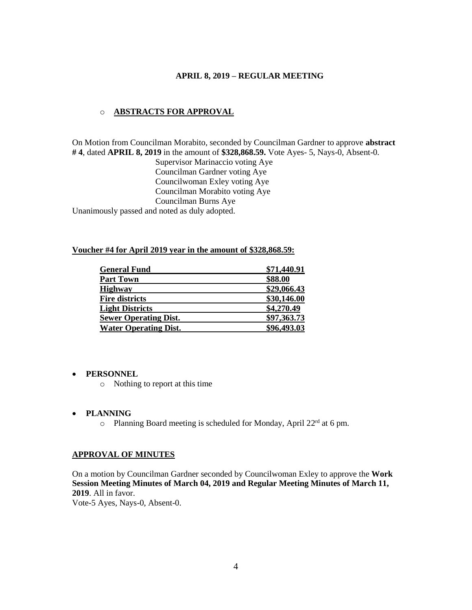## o **ABSTRACTS FOR APPROVAL**

On Motion from Councilman Morabito, seconded by Councilman Gardner to approve **abstract # 4**, dated **APRIL 8, 2019** in the amount of **\$328,868.59.** Vote Ayes- 5, Nays-0, Absent-0.

Supervisor Marinaccio voting Aye Councilman Gardner voting Aye Councilwoman Exley voting Aye Councilman Morabito voting Aye Councilman Burns Aye Unanimously passed and noted as duly adopted.

#### **Voucher #4 for April 2019 year in the amount of \$328,868.59:**

| <b>General Fund</b>          | \$71,440.91 |
|------------------------------|-------------|
| <b>Part Town</b>             | \$88.00     |
| <b>Highway</b>               | \$29,066.43 |
| <b>Fire districts</b>        | \$30,146.00 |
| <b>Light Districts</b>       | \$4,270.49  |
| <b>Sewer Operating Dist.</b> | \$97,363.73 |
| <b>Water Operating Dist.</b> | \$96,493.03 |

### • **PERSONNEL**

o Nothing to report at this time

#### • **PLANNING**

o Planning Board meeting is scheduled for Monday, April  $22<sup>rd</sup>$  at 6 pm.

### **APPROVAL OF MINUTES**

On a motion by Councilman Gardner seconded by Councilwoman Exley to approve the **Work Session Meeting Minutes of March 04, 2019 and Regular Meeting Minutes of March 11, 2019**. All in favor.

Vote-5 Ayes, Nays-0, Absent-0.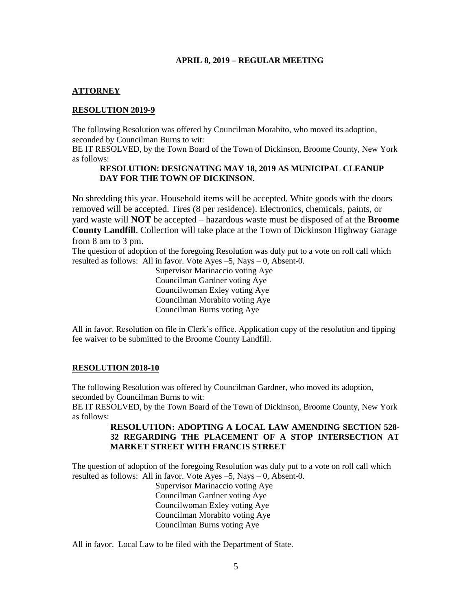# **ATTORNEY**

# **RESOLUTION 2019-9**

The following Resolution was offered by Councilman Morabito, who moved its adoption, seconded by Councilman Burns to wit:

BE IT RESOLVED, by the Town Board of the Town of Dickinson, Broome County, New York as follows:

### **RESOLUTION: DESIGNATING MAY 18, 2019 AS MUNICIPAL CLEANUP DAY FOR THE TOWN OF DICKINSON.**

No shredding this year. Household items will be accepted. White goods with the doors removed will be accepted. Tires (8 per residence). Electronics, chemicals, paints, or yard waste will **NOT** be accepted – hazardous waste must be disposed of at the **Broome County Landfill**. Collection will take place at the Town of Dickinson Highway Garage from 8 am to 3 pm.

The question of adoption of the foregoing Resolution was duly put to a vote on roll call which resulted as follows: All in favor. Vote Ayes –5, Nays – 0, Absent-0.

> Supervisor Marinaccio voting Aye Councilman Gardner voting Aye Councilwoman Exley voting Aye Councilman Morabito voting Aye Councilman Burns voting Aye

All in favor. Resolution on file in Clerk's office. Application copy of the resolution and tipping fee waiver to be submitted to the Broome County Landfill.

#### **RESOLUTION 2018-10**

The following Resolution was offered by Councilman Gardner, who moved its adoption, seconded by Councilman Burns to wit:

BE IT RESOLVED, by the Town Board of the Town of Dickinson, Broome County, New York as follows:

# **RESOLUTION: ADOPTING A LOCAL LAW AMENDING SECTION 528- 32 REGARDING THE PLACEMENT OF A STOP INTERSECTION AT MARKET STREET WITH FRANCIS STREET**

The question of adoption of the foregoing Resolution was duly put to a vote on roll call which resulted as follows: All in favor. Vote Ayes –5, Nays – 0, Absent-0.

> Supervisor Marinaccio voting Aye Councilman Gardner voting Aye Councilwoman Exley voting Aye Councilman Morabito voting Aye Councilman Burns voting Aye

All in favor. Local Law to be filed with the Department of State.